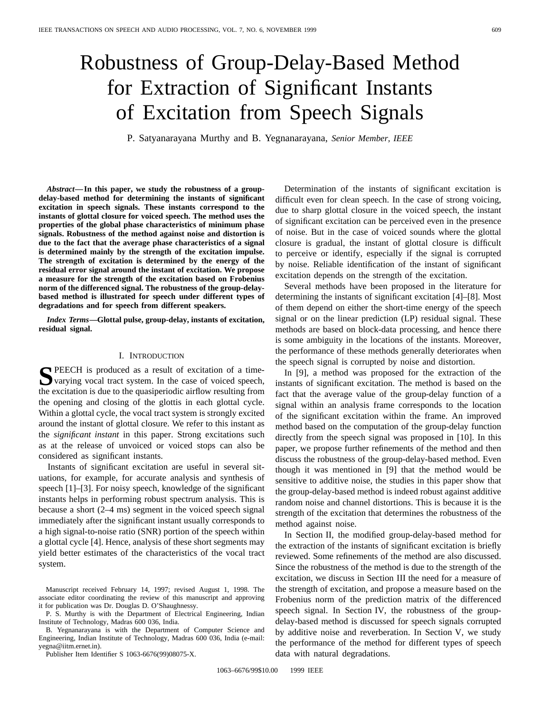# Robustness of Group-Delay-Based Method for Extraction of Significant Instants of Excitation from Speech Signals

P. Satyanarayana Murthy and B. Yegnanarayana, *Senior Member, IEEE*

*Abstract—***In this paper, we study the robustness of a groupdelay-based method for determining the instants of significant excitation in speech signals. These instants correspond to the instants of glottal closure for voiced speech. The method uses the properties of the global phase characteristics of minimum phase signals. Robustness of the method against noise and distortion is due to the fact that the average phase characteristics of a signal is determined mainly by the strength of the excitation impulse. The strength of excitation is determined by the energy of the residual error signal around the instant of excitation. We propose a measure for the strength of the excitation based on Frobenius norm of the differenced signal. The robustness of the group-delaybased method is illustrated for speech under different types of degradations and for speech from different speakers.**

*Index Terms—***Glottal pulse, group-delay, instants of excitation, residual signal.**

## I. INTRODUCTION

**S**PEECH is produced as a result of excitation of a timevarying vocal tract system. In the case of voiced speech, the excitation is due to the quasiperiodic airflow resulting from the opening and closing of the glottis in each glottal cycle. Within a glottal cycle, the vocal tract system is strongly excited around the instant of glottal closure. We refer to this instant as the *significant instant* in this paper. Strong excitations such as at the release of unvoiced or voiced stops can also be considered as significant instants.

Instants of significant excitation are useful in several situations, for example, for accurate analysis and synthesis of speech [1]–[3]. For noisy speech, knowledge of the significant instants helps in performing robust spectrum analysis. This is because a short (2–4 ms) segment in the voiced speech signal immediately after the significant instant usually corresponds to a high signal-to-noise ratio (SNR) portion of the speech within a glottal cycle [4]. Hence, analysis of these short segments may yield better estimates of the characteristics of the vocal tract system.

B. Yegnanarayana is with the Department of Computer Science and Engineering, Indian Institute of Technology, Madras 600 036, India (e-mail: yegna@iitm.ernet.in).

Publisher Item Identifier S 1063-6676(99)08075-X.

Determination of the instants of significant excitation is difficult even for clean speech. In the case of strong voicing, due to sharp glottal closure in the voiced speech, the instant of significant excitation can be perceived even in the presence of noise. But in the case of voiced sounds where the glottal closure is gradual, the instant of glottal closure is difficult to perceive or identify, especially if the signal is corrupted by noise. Reliable identification of the instant of significant excitation depends on the strength of the excitation.

Several methods have been proposed in the literature for determining the instants of significant excitation [4]–[8]. Most of them depend on either the short-time energy of the speech signal or on the linear prediction (LP) residual signal. These methods are based on block-data processing, and hence there is some ambiguity in the locations of the instants. Moreover, the performance of these methods generally deteriorates when the speech signal is corrupted by noise and distortion.

In [9], a method was proposed for the extraction of the instants of significant excitation. The method is based on the fact that the average value of the group-delay function of a signal within an analysis frame corresponds to the location of the significant excitation within the frame. An improved method based on the computation of the group-delay function directly from the speech signal was proposed in [10]. In this paper, we propose further refinements of the method and then discuss the robustness of the group-delay-based method. Even though it was mentioned in [9] that the method would be sensitive to additive noise, the studies in this paper show that the group-delay-based method is indeed robust against additive random noise and channel distortions. This is because it is the strength of the excitation that determines the robustness of the method against noise.

In Section II, the modified group-delay-based method for the extraction of the instants of significant excitation is briefly reviewed. Some refinements of the method are also discussed. Since the robustness of the method is due to the strength of the excitation, we discuss in Section III the need for a measure of the strength of excitation, and propose a measure based on the Frobenius norm of the prediction matrix of the differenced speech signal. In Section IV, the robustness of the groupdelay-based method is discussed for speech signals corrupted by additive noise and reverberation. In Section V, we study the performance of the method for different types of speech data with natural degradations.

Manuscript received February 14, 1997; revised August 1, 1998. The associate editor coordinating the review of this manuscript and approving it for publication was Dr. Douglas D. O'Shaughnessy.

P. S. Murthy is with the Department of Electrical Engineering, Indian Institute of Technology, Madras 600 036, India.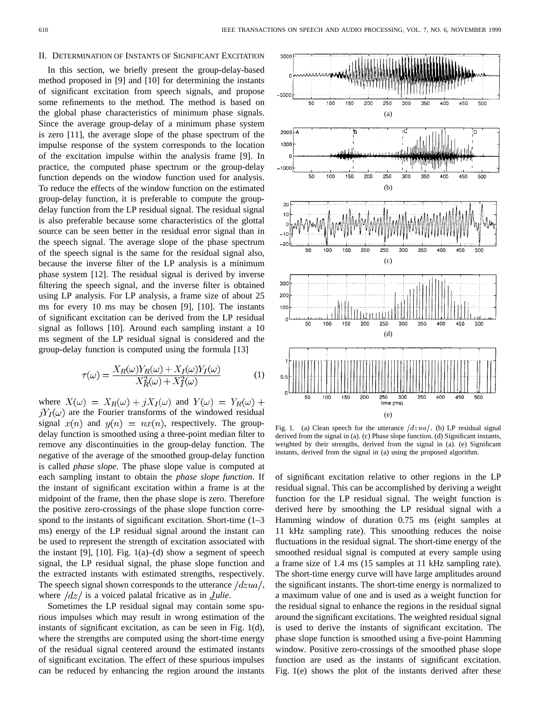#### II. DETERMINATION OF INSTANTS OF SIGNIFICANT EXCITATION

In this section, we briefly present the group-delay-based method proposed in [9] and [10] for determining the instants of significant excitation from speech signals, and propose some refinements to the method. The method is based on the global phase characteristics of minimum phase signals. Since the average group-delay of a minimum phase system is zero [11], the average slope of the phase spectrum of the impulse response of the system corresponds to the location of the excitation impulse within the analysis frame [9]. In practice, the computed phase spectrum or the group-delay function depends on the window function used for analysis. To reduce the effects of the window function on the estimated group-delay function, it is preferable to compute the groupdelay function from the LP residual signal. The residual signal is also preferable because some characteristics of the glottal source can be seen better in the residual error signal than in the speech signal. The average slope of the phase spectrum of the speech signal is the same for the residual signal also, because the inverse filter of the LP analysis is a minimum phase system [12]. The residual signal is derived by inverse filtering the speech signal, and the inverse filter is obtained using LP analysis. For LP analysis, a frame size of about 25 ms for every 10 ms may be chosen [9], [10]. The instants of significant excitation can be derived from the LP residual signal as follows [10]. Around each sampling instant a 10 ms segment of the LP residual signal is considered and the group-delay function is computed using the formula [13]

$$
\tau(\omega) = \frac{X_R(\omega)Y_R(\omega) + X_I(\omega)Y_I(\omega)}{X_R^2(\omega) + X_I^2(\omega)}\tag{1}
$$

where  $X(\omega) = X_R(\omega) + jX_I(\omega)$  and  $Y(\omega) = Y_R(\omega) + jX_I(\omega)$  $jY_I(\omega)$  are the Fourier transforms of the windowed residual signal  $x(n)$  and  $y(n) = nx(n)$ , respectively. The groupdelay function is smoothed using a three-point median filter to remove any discontinuities in the group-delay function. The negative of the average of the smoothed group-delay function is called *phase slope*. The phase slope value is computed at each sampling instant to obtain the *phase slope function*. If the instant of significant excitation within a frame is at the midpoint of the frame, then the phase slope is zero. Therefore the positive zero-crossings of the phase slope function correspond to the instants of significant excitation. Short-time (1–3 ms) energy of the LP residual signal around the instant can be used to represent the strength of excitation associated with the instant [9], [10]. Fig.  $1(a)$ –(d) show a segment of speech signal, the LP residual signal, the phase slope function and the extracted instants with estimated strengths, respectively. The speech signal shown corresponds to the utterance  $\frac{1}{dx}$ . where  $\frac{dz}{i}$  is a voiced palatal fricative as in *Julie*.

Sometimes the LP residual signal may contain some spurious impulses which may result in wrong estimation of the instants of significant excitation, as can be seen in Fig. 1(d), where the strengths are computed using the short-time energy of the residual signal centered around the estimated instants of significant excitation. The effect of these spurious impulses can be reduced by enhancing the region around the instants



Fig. 1. (a) Clean speech for the utterance  $\frac{dzua}{dx}$ . (b) LP residual signal derived from the signal in (a). (c) Phase slope function. (d) Significant instants, weighted by their strengths, derived from the signal in (a). (e) Significant instants, derived from the signal in (a) using the proposed algorithm.

of significant excitation relative to other regions in the LP residual signal. This can be accomplished by deriving a weight function for the LP residual signal. The weight function is derived here by smoothing the LP residual signal with a Hamming window of duration 0.75 ms (eight samples at 11 kHz sampling rate). This smoothing reduces the noise fluctuations in the residual signal. The short-time energy of the smoothed residual signal is computed at every sample using a frame size of 1.4 ms (15 samples at 11 kHz sampling rate). The short-time energy curve will have large amplitudes around the significant instants. The short-time energy is normalized to a maximum value of one and is used as a weight function for the residual signal to enhance the regions in the residual signal around the significant excitations. The weighted residual signal is used to derive the instants of significant excitation. The phase slope function is smoothed using a five-point Hamming window. Positive zero-crossings of the smoothed phase slope function are used as the instants of significant excitation. Fig. 1(e) shows the plot of the instants derived after these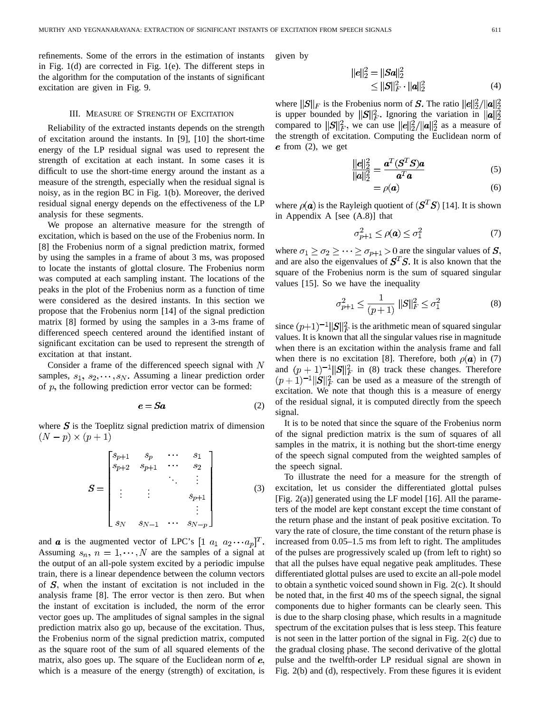refinements. Some of the errors in the estimation of instants in Fig. 1(d) are corrected in Fig. 1(e). The different steps in the algorithm for the computation of the instants of significant excitation are given in Fig. 9.

#### III. MEASURE OF STRENGTH OF EXCITATION

Reliability of the extracted instants depends on the strength of excitation around the instants. In [9], [10] the short-time energy of the LP residual signal was used to represent the strength of excitation at each instant. In some cases it is difficult to use the short-time energy around the instant as a measure of the strength, especially when the residual signal is noisy, as in the region BC in Fig. 1(b). Moreover, the derived residual signal energy depends on the effectiveness of the LP analysis for these segments.

We propose an alternative measure for the strength of excitation, which is based on the use of the Frobenius norm. In [8] the Frobenius norm of a signal prediction matrix, formed by using the samples in a frame of about 3 ms, was proposed to locate the instants of glottal closure. The Frobenius norm was computed at each sampling instant. The locations of the peaks in the plot of the Frobenius norm as a function of time were considered as the desired instants. In this section we propose that the Frobenius norm [14] of the signal prediction matrix [8] formed by using the samples in a 3-ms frame of differenced speech centered around the identified instant of significant excitation can be used to represent the strength of excitation at that instant.

Consider a frame of the differenced speech signal with  $N$ samples,  $s_1, s_2, \dots, s_N$ . Assuming a linear prediction order of  $p$ , the following prediction error vector can be formed:

$$
e = Sa \tag{2}
$$

where  $S$  is the Toeplitz signal prediction matrix of dimension  $(N-p) \times (p+1)$ 

$$
S = \begin{bmatrix} s_{p+1} & s_p & \cdots & s_1 \\ s_{p+2} & s_{p+1} & \cdots & s_2 \\ \vdots & \vdots & & \ddots & \vdots \\ \vdots & \vdots & & s_{p+1} \\ s_N & s_{N-1} & \cdots & s_{N-p} \end{bmatrix}
$$
 (3)

and **a** is the augmented vector of LPC's  $[1 \ a_1 \ a_2 \cdots a_p]^T$ . Assuming  $s_n$ ,  $n = 1, \dots, N$  are the samples of a signal at the output of an all-pole system excited by a periodic impulse train, there is a linear dependence between the column vectors of  $S$ , when the instant of excitation is not included in the analysis frame [8]. The error vector is then zero. But when the instant of excitation is included, the norm of the error vector goes up. The amplitudes of signal samples in the signal prediction matrix also go up, because of the excitation. Thus, the Frobenius norm of the signal prediction matrix, computed as the square root of the sum of all squared elements of the matrix, also goes up. The square of the Euclidean norm of  $e$ , which is a measure of the energy (strength) of excitation, is given by

$$
||e||_2^2 = ||Sa||_2^2
$$
  
\n
$$
\le ||S||_F^2 \cdot ||a||_2^2
$$
 (4)

where  $||S||_F$  is the Frobenius norm of S. The ratio  $||e||_2^2/||a||_2^2$ is upper bounded by  $||S||_F^2$ . Ignoring the variation in  $||\mathbf{a}||_2^2$ compared to  $||S||_F^2$ , we can use  $||e||_2^2/||a||_2^2$  as a measure of the strength of excitation. Computing the Euclidean norm of  $e$  from  $(2)$ , we get

$$
\frac{||e||_2^2}{||a||_2^2} = \frac{a^T (S^T S) a}{a^T a}
$$
 (5)

$$
=\rho(a)\tag{6}
$$

where  $\rho(\mathbf{a})$  is the Rayleigh quotient of  $(\mathbf{S}^T \mathbf{S})$  [14]. It is shown in Appendix A [see (A.8)] that

$$
\sigma_{p+1}^2 \le \rho(\mathbf{a}) \le \sigma_1^2 \tag{7}
$$

where  $\sigma_1 \geq \sigma_2 \geq \cdots \geq \sigma_{p+1} > 0$  are the singular values of and are also the eigenvalues of  $S<sup>T</sup>S$ . It is also known that the square of the Frobenius norm is the sum of squared singular values [15]. So we have the inequality

$$
\sigma_{p+1}^2 \le \frac{1}{(p+1)} \, ||S||_F^2 \le \sigma_1^2 \tag{8}
$$

since  $(p+1)^{-1} ||S||_F^2$  is the arithmetic mean of squared singular values. It is known that all the singular values rise in magnitude when there is an excitation within the analysis frame and fall when there is no excitation [8]. Therefore, both  $\rho(\mathbf{a})$  in (7) and  $(p+1)^{-1}||S||_F^2$  in (8) track these changes. Therefore can be used as a measure of the strength of excitation. We note that though this is a measure of energy of the residual signal, it is computed directly from the speech signal.

It is to be noted that since the square of the Frobenius norm of the signal prediction matrix is the sum of squares of all samples in the matrix, it is nothing but the short-time energy of the speech signal computed from the weighted samples of the speech signal.

To illustrate the need for a measure for the strength of excitation, let us consider the differentiated glottal pulses [Fig.  $2(a)$ ] generated using the LF model [16]. All the parameters of the model are kept constant except the time constant of the return phase and the instant of peak positive excitation. To vary the rate of closure, the time constant of the return phase is increased from 0.05–1.5 ms from left to right. The amplitudes of the pulses are progressively scaled up (from left to right) so that all the pulses have equal negative peak amplitudes. These differentiated glottal pulses are used to excite an all-pole model to obtain a synthetic voiced sound shown in Fig. 2(c). It should be noted that, in the first 40 ms of the speech signal, the signal components due to higher formants can be clearly seen. This is due to the sharp closing phase, which results in a magnitude spectrum of the excitation pulses that is less steep. This feature is not seen in the latter portion of the signal in Fig. 2(c) due to the gradual closing phase. The second derivative of the glottal pulse and the twelfth-order LP residual signal are shown in Fig. 2(b) and (d), respectively. From these figures it is evident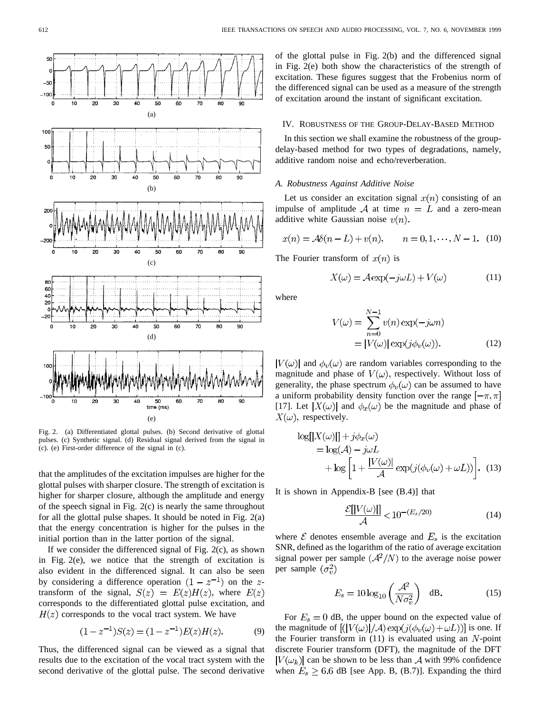

Fig. 2. (a) Differentiated glottal pulses. (b) Second derivative of glottal pulses. (c) Synthetic signal. (d) Residual signal derived from the signal in (c). (e) First-order difference of the signal in (c).

that the amplitudes of the excitation impulses are higher for the glottal pulses with sharper closure. The strength of excitation is higher for sharper closure, although the amplitude and energy of the speech signal in Fig. 2(c) is nearly the same throughout for all the glottal pulse shapes. It should be noted in Fig. 2(a) that the energy concentration is higher for the pulses in the initial portion than in the latter portion of the signal.

If we consider the differenced signal of Fig. 2(c), as shown in Fig. 2(e), we notice that the strength of excitation is also evident in the differenced signal. It can also be seen by considering a difference operation  $(1 - z^{-1})$  on the ztransform of the signal,  $S(z) = E(z)H(z)$ , where  $E(z)$ corresponds to the differentiated glottal pulse excitation, and  $H(z)$  corresponds to the vocal tract system. We have

$$
(1 - z^{-1})S(z) = (1 - z^{-1})E(z)H(z).
$$
 (9)

Thus, the differenced signal can be viewed as a signal that results due to the excitation of the vocal tract system with the second derivative of the glottal pulse. The second derivative

of the glottal pulse in Fig. 2(b) and the differenced signal in Fig. 2(e) both show the characteristics of the strength of excitation. These figures suggest that the Frobenius norm of the differenced signal can be used as a measure of the strength of excitation around the instant of significant excitation.

## IV. ROBUSTNESS OF THE GROUP-DELAY-BASED METHOD

In this section we shall examine the robustness of the groupdelay-based method for two types of degradations, namely, additive random noise and echo/reverberation.

#### *A. Robustness Against Additive Noise*

Let us consider an excitation signal  $x(n)$  consisting of an impulse of amplitude A at time  $n = L$  and a zero-mean additive white Gaussian noise  $v(n)$ .

$$
x(n) = A\delta(n - L) + v(n), \qquad n = 0, 1, \cdots, N - 1.
$$
 (10)

The Fourier transform of  $x(n)$  is

$$
X(\omega) = A \exp(-j\omega L) + V(\omega)
$$
 (11)

where

$$
V(\omega) = \sum_{n=0}^{N-1} v(n) \exp(-j\omega n)
$$
  
=  $|V(\omega)| \exp(j\phi_v(\omega)).$  (12)

 $|V(\omega)|$  and  $\phi_v(\omega)$  are random variables corresponding to the magnitude and phase of  $V(\omega)$ , respectively. Without loss of generality, the phase spectrum  $\phi_v(\omega)$  can be assumed to have a uniform probability density function over the range  $[-\pi, \pi]$ [17]. Let  $|X(\omega)|$  and  $\phi_x(\omega)$  be the magnitude and phase of  $X(\omega)$ , respectively.

$$
\begin{aligned} \log[|X(\omega)|] + j\phi_x(\omega) \\ &= \log(\mathcal{A}) - j\omega L \\ &+ \log\left[1 + \frac{|V(\omega)|}{\mathcal{A}}\exp(j(\phi_v(\omega) + \omega L))\right]. \end{aligned} \tag{13}
$$

It is shown in Appendix-B [see (B.4)] that

$$
\frac{\mathcal{E}[|V(\omega)|]}{\mathcal{A}} < 10^{-(E_s/20)}\tag{14}
$$

where  $\mathcal E$  denotes ensemble average and  $E_s$  is the excitation SNR, defined as the logarithm of the ratio of average excitation signal power per sample  $(\mathcal{A}^2/N)$  to the average noise power per sample  $(\sigma_v^2)$ 

$$
E_s = 10 \log_{10} \left( \frac{\mathcal{A}^2}{N \sigma_v^2} \right) \quad \text{dB.} \tag{15}
$$

For  $E_s = 0$  dB, the upper bound on the expected value of the magnitude of  $[(|V(\omega)|/A) \exp(j(\phi_v(\omega)+\omega L))]$  is one. If the Fourier transform in  $(11)$  is evaluated using an  $N$ -point discrete Fourier transform (DFT), the magnitude of the DFT  $|V(\omega_k)|$  can be shown to be less than A with 99% confidence when  $E_s \geq 6.6$  dB [see App. B, (B.7)]. Expanding the third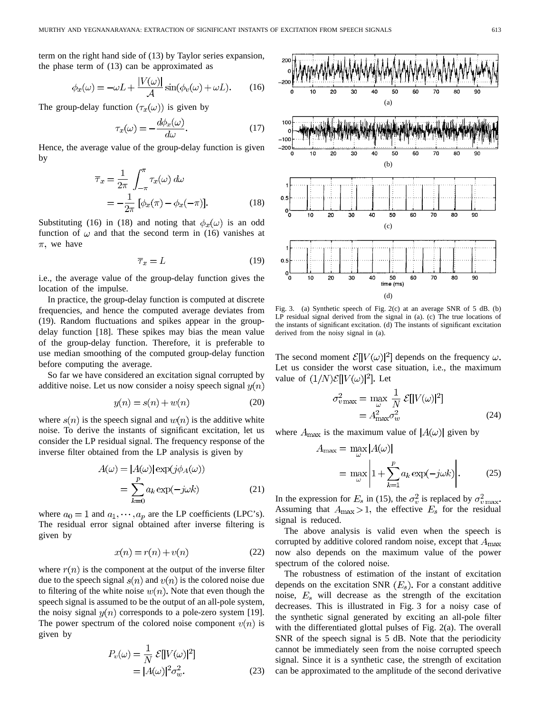term on the right hand side of (13) by Taylor series expansion, the phase term of (13) can be approximated as

$$
\phi_x(\omega) = -\omega L + \frac{|V(\omega)|}{\mathcal{A}} \sin(\phi_v(\omega) + \omega L). \tag{16}
$$

The group-delay function  $(\tau_x(\omega))$  is given by

$$
\tau_x(\omega) = -\frac{d\phi_x(\omega)}{d\omega}.
$$
\n(17)

Hence, the average value of the group-delay function is given by

$$
\overline{\tau}_x = \frac{1}{2\pi} \int_{-\pi}^{\pi} \tau_x(\omega) d\omega
$$
  
=  $-\frac{1}{2\pi} [\phi_x(\pi) - \phi_x(-\pi)].$  (18)

Substituting (16) in (18) and noting that  $\phi_x(\omega)$  is an odd function of  $\omega$  and that the second term in (16) vanishes at  $\pi$ , we have

$$
\overline{\tau}_x = L \tag{19}
$$

i.e., the average value of the group-delay function gives the location of the impulse.

In practice, the group-delay function is computed at discrete frequencies, and hence the computed average deviates from (19). Random fluctuations and spikes appear in the groupdelay function [18]. These spikes may bias the mean value of the group-delay function. Therefore, it is preferable to use median smoothing of the computed group-delay function before computing the average.

So far we have considered an excitation signal corrupted by additive noise. Let us now consider a noisy speech signal  $y(n)$ 

$$
y(n) = s(n) + w(n)
$$
\n<sup>(20)</sup>

where  $s(n)$  is the speech signal and  $w(n)$  is the additive white noise. To derive the instants of significant excitation, let us consider the LP residual signal. The frequency response of the inverse filter obtained from the LP analysis is given by

$$
A(\omega) = |A(\omega)| \exp(j\phi_A(\omega))
$$
  
= 
$$
\sum_{k=0}^{p} a_k \exp(-j\omega k)
$$
 (21)

where  $a_0 = 1$  and  $a_1, \dots, a_p$  are the LP coefficients (LPC's). The residual error signal obtained after inverse filtering is given by

$$
x(n) = r(n) + v(n)
$$
\n(22)

where  $r(n)$  is the component at the output of the inverse filter due to the speech signal  $s(n)$  and  $v(n)$  is the colored noise due to filtering of the white noise  $w(n)$ . Note that even though the speech signal is assumed to be the output of an all-pole system, the noisy signal  $y(n)$  corresponds to a pole-zero system [19]. The power spectrum of the colored noise component  $v(n)$  is given by

$$
P_v(\omega) = \frac{1}{N} \mathcal{E}[|V(\omega)|^2]
$$
  
=  $|A(\omega)|^2 \sigma_w^2$ . (23)



Fig. 3. (a) Synthetic speech of Fig. 2(c) at an average SNR of 5 dB. (b) LP residual signal derived from the signal in (a). (c) The true locations of the instants of significant excitation. (d) The instants of significant excitation derived from the noisy signal in (a).

The second moment  $\mathcal{E}[|V(\omega)|^2]$  depends on the frequency  $\omega$ . Let us consider the worst case situation, i.e., the maximum value of  $(1/N)\mathcal{E}[[V(\omega)]^2]$ . Let

$$
\sigma_{v \max}^2 = \max_{\omega} \frac{1}{N} \mathcal{E}[|V(\omega)|^2]
$$

$$
= A_{\max}^2 \sigma_w^2 \tag{24}
$$

where  $A_{\text{max}}$  is the maximum value of  $|A(\omega)|$  given by

$$
A_{\max} = \max_{\omega} |A(\omega)|
$$
  
= 
$$
\max_{\omega} \left| 1 + \sum_{k=1}^{p} a_k \exp(-j\omega k) \right|.
$$
 (25)

In the expression for  $E_s$  in (15), the  $\sigma_v^2$  is replaced by  $\sigma_{v \max}^2$ . Assuming that  $A_{\text{max}} > 1$ , the effective  $E_s$  for the residual signal is reduced.

The above analysis is valid even when the speech is corrupted by additive colored random noise, except that  $A_{\text{max}}$ now also depends on the maximum value of the power spectrum of the colored noise.

The robustness of estimation of the instant of excitation depends on the excitation SNR  $(E_s)$ . For a constant additive noise,  $E_s$  will decrease as the strength of the excitation decreases. This is illustrated in Fig. 3 for a noisy case of the synthetic signal generated by exciting an all-pole filter with the differentiated glottal pulses of Fig. 2(a). The overall SNR of the speech signal is 5 dB. Note that the periodicity cannot be immediately seen from the noise corrupted speech signal. Since it is a synthetic case, the strength of excitation can be approximated to the amplitude of the second derivative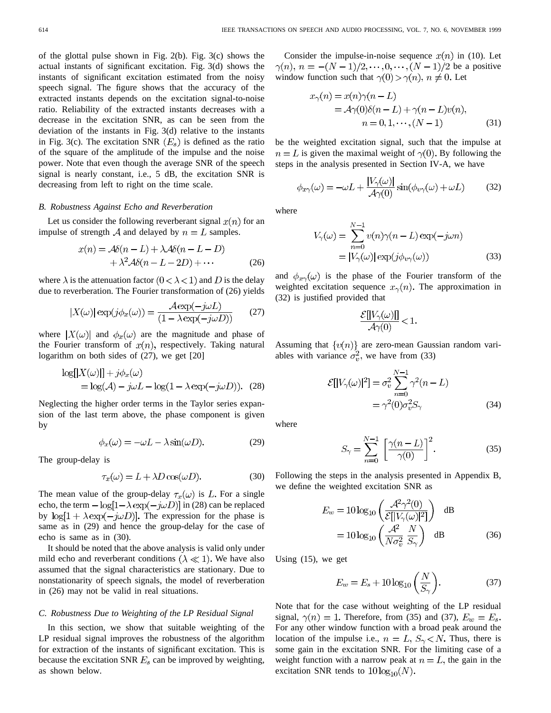of the glottal pulse shown in Fig. 2(b). Fig. 3(c) shows the actual instants of significant excitation. Fig. 3(d) shows the instants of significant excitation estimated from the noisy speech signal. The figure shows that the accuracy of the extracted instants depends on the excitation signal-to-noise ratio. Reliability of the extracted instants decreases with a decrease in the excitation SNR, as can be seen from the deviation of the instants in Fig. 3(d) relative to the instants in Fig. 3(c). The excitation SNR  $(E_s)$  is defined as the ratio of the square of the amplitude of the impulse and the noise power. Note that even though the average SNR of the speech signal is nearly constant, i.e., 5 dB, the excitation SNR is decreasing from left to right on the time scale.

#### *B. Robustness Against Echo and Reverberation*

Let us consider the following reverberant signal  $x(n)$  for an impulse of strength A and delayed by  $n = L$  samples.

$$
x(n) = A\delta(n-L) + \lambda A\delta(n-L-D) + \lambda^2 A\delta(n-L-2D) + \cdots
$$
 (26)

where  $\lambda$  is the attenuation factor  $(0 < \lambda < 1)$  and D is the delay due to reverberation. The Fourier transformation of (26) yields

$$
|X(\omega)| \exp(j\phi_x(\omega)) = \frac{\mathcal{A} \exp(-j\omega L)}{(1 - \lambda \exp(-j\omega D))}
$$
(27)

where  $|X(\omega)|$  and  $\phi_x(\omega)$  are the magnitude and phase of the Fourier transform of  $x(n)$ , respectively. Taking natural logarithm on both sides of (27), we get [20]

$$
\log[|X(\omega)|] + j\phi_x(\omega)
$$
  
=  $\log(A) - j\omega L - \log(1 - \lambda \exp(-j\omega D)).$  (28)

Neglecting the higher order terms in the Taylor series expansion of the last term above, the phase component is given by

$$
\phi_x(\omega) = -\omega L - \lambda \sin(\omega D). \tag{29}
$$

The group-delay is

$$
\tau_x(\omega) = L + \lambda D \cos(\omega D). \tag{30}
$$

The mean value of the group-delay  $\tau_x(\omega)$  is L. For a single echo, the term  $-\log[1-\lambda \exp(-j\omega D)]$  in (28) can be replaced by  $\log[1 + \lambda \exp(-j\omega D)]$ . The expression for the phase is same as in (29) and hence the group-delay for the case of echo is same as in (30).

It should be noted that the above analysis is valid only under mild echo and reverberant conditions ( $\lambda \ll 1$ ). We have also assumed that the signal characteristics are stationary. Due to nonstationarity of speech signals, the model of reverberation in (26) may not be valid in real situations.

#### *C. Robustness Due to Weighting of the LP Residual Signal*

In this section, we show that suitable weighting of the LP residual signal improves the robustness of the algorithm for extraction of the instants of significant excitation. This is because the excitation SNR  $E_s$  can be improved by weighting, as shown below.

Consider the impulse-in-noise sequence  $x(n)$  in (10). Let  $\gamma(n), n = -(N-1)/2, \cdots, 0, \cdots, (N-1)/2$  be a positive window function such that  $\gamma(0) > \gamma(n)$ ,  $n \neq 0$ . Let

$$
x_{\gamma}(n) = x(n)\gamma(n-L)
$$
  
=  $A\gamma(0)\delta(n-L) + \gamma(n-L)v(n),$   

$$
n = 0, 1, \cdots, (N-1)
$$
 (31)

be the weighted excitation signal, such that the impulse at  $n = L$  is given the maximal weight of  $\gamma(0)$ . By following the steps in the analysis presented in Section IV-A, we have

$$
\phi_{x\gamma}(\omega) = -\omega L + \frac{|V_{\gamma}(\omega)|}{\mathcal{A}\gamma(0)} \sin(\phi_{v\gamma}(\omega) + \omega L) \tag{32}
$$

where

$$
V_{\gamma}(\omega) = \sum_{n=0}^{N-1} v(n)\gamma(n-L)\exp(-j\omega n)
$$
  
=  $|V_{\gamma}(\omega)| \exp(j\phi_{\nu\gamma}(\omega))$  (33)

and  $\phi_{x\gamma}(\omega)$  is the phase of the Fourier transform of the weighted excitation sequence  $x_{\gamma}(n)$ . The approximation in (32) is justified provided that

$$
\frac{\mathcal{E}[|V_\gamma(\omega)|]}{\mathcal{A}\gamma(0)} < 1.
$$

Assuming that  $\{v(n)\}\$ are zero-mean Gaussian random variables with variance  $\sigma_v^2$ , we have from (33)

$$
\mathcal{E}[|V_{\gamma}(\omega)|^2] = \sigma_v^2 \sum_{n=0}^{N-1} \gamma^2 (n - L)
$$
  
=  $\gamma^2 (0) \sigma_v^2 S_{\gamma}$  (34)

where

$$
S_{\gamma} = \sum_{n=0}^{N-1} \left[ \frac{\gamma(n-L)}{\gamma(0)} \right]^2.
$$
 (35)

Following the steps in the analysis presented in Appendix B, we define the weighted excitation SNR as

$$
E_w = 10 \log_{10} \left( \frac{\mathcal{A}^2 \gamma^2(0)}{\mathcal{E}[|V_\gamma(\omega)|^2]} \right) \, \mathrm{dB}
$$

$$
= 10 \log_{10} \left( \frac{\mathcal{A}^2}{N \sigma_v^2} \frac{N}{S_\gamma} \right) \, \mathrm{dB} \tag{36}
$$

Using (15), we get

$$
E_w = E_s + 10 \log_{10} \left( \frac{N}{S_\gamma} \right). \tag{37}
$$

Note that for the case without weighting of the LP residual signal,  $\gamma(n) = 1$ . Therefore, from (35) and (37),  $E_w = E_s$ . For any other window function with a broad peak around the location of the impulse i.e.,  $n = L$ ,  $S_{\gamma} < N$ . Thus, there is some gain in the excitation SNR. For the limiting case of a weight function with a narrow peak at  $n = L$ , the gain in the excitation SNR tends to  $10 \log_{10}(N)$ .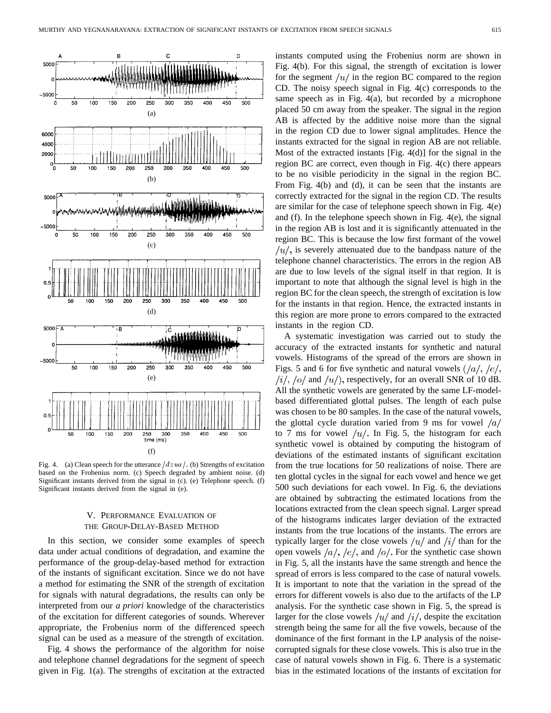

Fig. 4. (a) Clean speech for the utterance  $\frac{dzua}{.}$  (b) Strengths of excitation based on the Frobenius norm. (c) Speech degraded by ambient noise. (d) Significant instants derived from the signal in (c). (e) Telephone speech. (f) Significant instants derived from the signal in (e).

# V. PERFORMANCE EVALUATION OF THE GROUP-DELAY-BASED METHOD

In this section, we consider some examples of speech data under actual conditions of degradation, and examine the performance of the group-delay-based method for extraction of the instants of significant excitation. Since we do not have a method for estimating the SNR of the strength of excitation for signals with natural degradations, the results can only be interpreted from our *a priori* knowledge of the characteristics of the excitation for different categories of sounds. Wherever appropriate, the Frobenius norm of the differenced speech signal can be used as a measure of the strength of excitation.

Fig. 4 shows the performance of the algorithm for noise and telephone channel degradations for the segment of speech given in Fig. 1(a). The strengths of excitation at the extracted instants computed using the Frobenius norm are shown in Fig. 4(b). For this signal, the strength of excitation is lower for the segment  $\mu/\mu$  in the region BC compared to the region CD. The noisy speech signal in Fig. 4(c) corresponds to the same speech as in Fig. 4(a), but recorded by a microphone placed 50 cm away from the speaker. The signal in the region AB is affected by the additive noise more than the signal in the region CD due to lower signal amplitudes. Hence the instants extracted for the signal in region AB are not reliable. Most of the extracted instants [Fig. 4(d)] for the signal in the region BC are correct, even though in Fig. 4(c) there appears to be no visible periodicity in the signal in the region BC. From Fig. 4(b) and (d), it can be seen that the instants are correctly extracted for the signal in the region CD. The results are similar for the case of telephone speech shown in Fig. 4(e) and (f). In the telephone speech shown in Fig. 4(e), the signal in the region AB is lost and it is significantly attenuated in the region BC. This is because the low first formant of the vowel  $\mu/\mu$ , is severely attenuated due to the bandpass nature of the telephone channel characteristics. The errors in the region AB are due to low levels of the signal itself in that region. It is important to note that although the signal level is high in the region BC for the clean speech, the strength of excitation is low for the instants in that region. Hence, the extracted instants in this region are more prone to errors compared to the extracted instants in the region CD.

A systematic investigation was carried out to study the accuracy of the extracted instants for synthetic and natural vowels. Histograms of the spread of the errors are shown in Figs. 5 and 6 for five synthetic and natural vowels  $\frac{1}{a}, \frac{1}{c},$  $\langle i \rangle$ ,  $\langle o \rangle$  and  $\langle u \rangle$ , respectively, for an overall SNR of 10 dB. All the synthetic vowels are generated by the same LF-modelbased differentiated glottal pulses. The length of each pulse was chosen to be 80 samples. In the case of the natural vowels, the glottal cycle duration varied from 9 ms for vowel  $\frac{a}{a}$ to 7 ms for vowel  $/u/$ . In Fig. 5, the histogram for each synthetic vowel is obtained by computing the histogram of deviations of the estimated instants of significant excitation from the true locations for 50 realizations of noise. There are ten glottal cycles in the signal for each vowel and hence we get 500 such deviations for each vowel. In Fig. 6, the deviations are obtained by subtracting the estimated locations from the locations extracted from the clean speech signal. Larger spread of the histograms indicates larger deviation of the extracted instants from the true locations of the instants. The errors are typically larger for the close vowels  $\mu/\$  and  $\pi/\mu$  than for the open vowels  $\frac{a}{, \ell}$ ,  $\frac{e}{, \ell}$ , and  $\frac{o}{, \ell}$ . For the synthetic case shown in Fig. 5, all the instants have the same strength and hence the spread of errors is less compared to the case of natural vowels. It is important to note that the variation in the spread of the errors for different vowels is also due to the artifacts of the LP analysis. For the synthetic case shown in Fig. 5, the spread is larger for the close vowels  $\frac{u}{a}$  and  $\frac{v}{i}$ , despite the excitation strength being the same for all the five vowels, because of the dominance of the first formant in the LP analysis of the noisecorrupted signals for these close vowels. This is also true in the case of natural vowels shown in Fig. 6. There is a systematic bias in the estimated locations of the instants of excitation for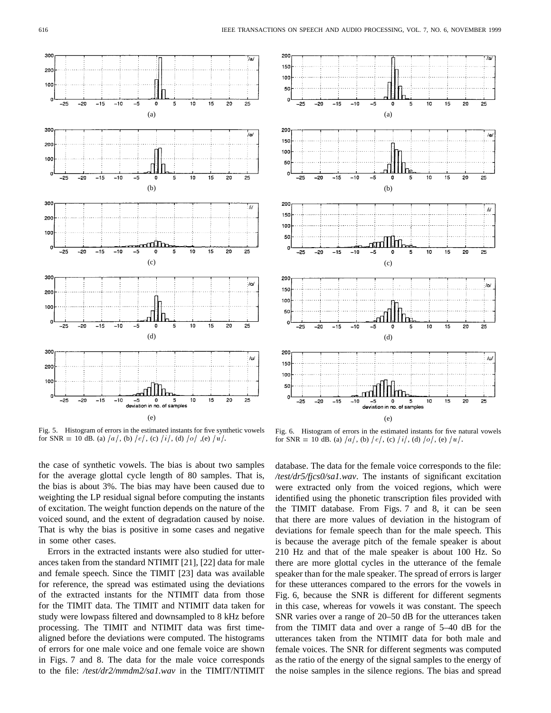

(e) Fig. 5. Histogram of errors in the estimated instants for five synthetic vowels for SNR = 10 dB. (a)  $/a/$ , (b)  $/e/$ , (c)  $/i/$ , (d)  $/o/$ , (e)  $/u/$ .

![](_page_7_Figure_4.jpeg)

Fig. 6. Histogram of errors in the estimated instants for five natural vowels for SNR = 10 dB. (a)  $/a/$ , (b)  $/e/$ , (c)  $/i/$ , (d)  $/o/$ , (e)  $/u/$ .

the case of synthetic vowels. The bias is about two samples for the average glottal cycle length of 80 samples. That is, the bias is about 3%. The bias may have been caused due to weighting the LP residual signal before computing the instants of excitation. The weight function depends on the nature of the voiced sound, and the extent of degradation caused by noise. That is why the bias is positive in some cases and negative in some other cases.

Errors in the extracted instants were also studied for utterances taken from the standard NTIMIT [21], [22] data for male and female speech. Since the TIMIT [23] data was available for reference, the spread was estimated using the deviations of the extracted instants for the NTIMIT data from those for the TIMIT data. The TIMIT and NTIMIT data taken for study were lowpass filtered and downsampled to 8 kHz before processing. The TIMIT and NTIMIT data was first timealigned before the deviations were computed. The histograms of errors for one male voice and one female voice are shown in Figs. 7 and 8. The data for the male voice corresponds to the file: */test/dr2/mmdm2/sa1.wav* in the TIMIT/NTIMIT

database. The data for the female voice corresponds to the file: */test/dr5/fjcs0/sa1.wav*. The instants of significant excitation were extracted only from the voiced regions, which were identified using the phonetic transcription files provided with the TIMIT database. From Figs. 7 and 8, it can be seen that there are more values of deviation in the histogram of deviations for female speech than for the male speech. This is because the average pitch of the female speaker is about 210 Hz and that of the male speaker is about 100 Hz. So there are more glottal cycles in the utterance of the female speaker than for the male speaker. The spread of errors is larger for these utterances compared to the errors for the vowels in Fig. 6, because the SNR is different for different segments in this case, whereas for vowels it was constant. The speech SNR varies over a range of 20–50 dB for the utterances taken from the TIMIT data and over a range of 5–40 dB for the utterances taken from the NTIMIT data for both male and female voices. The SNR for different segments was computed as the ratio of the energy of the signal samples to the energy of the noise samples in the silence regions. The bias and spread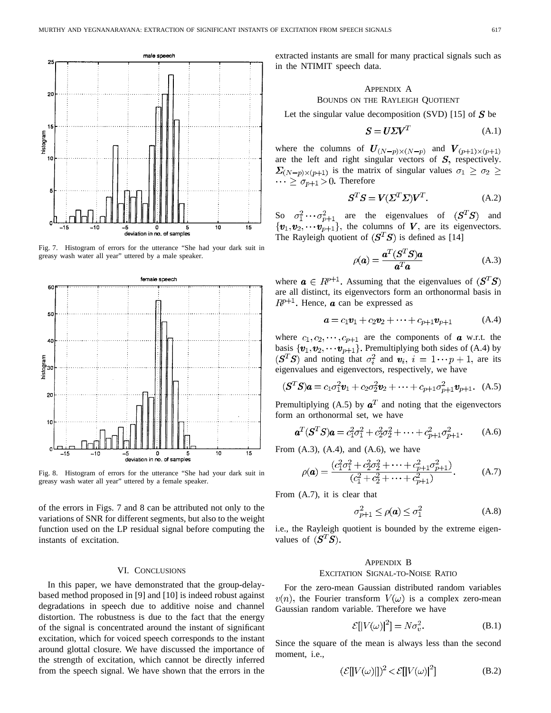![](_page_8_Figure_1.jpeg)

Fig. 7. Histogram of errors for the utterance "She had your dark suit in greasy wash water all year" uttered by a male speaker.

![](_page_8_Figure_3.jpeg)

Fig. 8. Histogram of errors for the utterance "She had your dark suit in greasy wash water all year" uttered by a female speaker.

of the errors in Figs. 7 and 8 can be attributed not only to the variations of SNR for different segments, but also to the weight function used on the LP residual signal before computing the instants of excitation.

#### VI. CONCLUSIONS

In this paper, we have demonstrated that the group-delaybased method proposed in [9] and [10] is indeed robust against degradations in speech due to additive noise and channel distortion. The robustness is due to the fact that the energy of the signal is concentrated around the instant of significant excitation, which for voiced speech corresponds to the instant around glottal closure. We have discussed the importance of the strength of excitation, which cannot be directly inferred from the speech signal. We have shown that the errors in the

extracted instants are small for many practical signals such as in the NTIMIT speech data.

# APPENDIX A BOUNDS ON THE RAYLEIGH QUOTIENT

Let the singular value decomposition (SVD) [15] of  $S$  be

$$
S = U\Sigma V^T \tag{A.1}
$$

where the columns of  $U_{(N-p)\times(N-p)}$  and  $V_{(p+1)\times(p+1)}$ are the left and right singular vectors of  $S$ , respectively.  $\sum_{(N-p)\times (p+1)}$  is the matrix of singular values  $\sigma_1 \ge \sigma_2 \ge$  $\cdots \geq \sigma_{p+1} > 0$ . Therefore

$$
S^T S = V(\Sigma^T \Sigma) V^T.
$$
 (A.2)

So  $\sigma_1^2 \cdots \sigma_{n+1}^2$  are the eigenvalues of  $(S^T S)$  and the columns of  $V$ , are its eigenvectors. The Rayleigh quotient of  $(S^T S)$  is defined as [14]

$$
\rho(\mathbf{a}) = \frac{\mathbf{a}^T (\mathbf{S}^T \mathbf{S}) \mathbf{a}}{\mathbf{a}^T \mathbf{a}}
$$
(A.3)

where  $a \in R^{p+1}$ . Assuming that the eigenvalues of  $(S^T S)$ are all distinct, its eigenvectors form an orthonormal basis in  $R^{p+1}$ . Hence, **a** can be expressed as

$$
\mathbf{a} = c_1 \mathbf{v}_1 + c_2 \mathbf{v}_2 + \dots + c_{p+1} \mathbf{v}_{p+1} \tag{A.4}
$$

where  $c_1, c_2, \dots, c_{p+1}$  are the components of **a** w.r.t. the basis  $\{v_1, v_2, \cdots v_{p+1}\}.$  Premultiplying both sides of (A.4) by  $(S^T S)$  and noting that  $\sigma_i^2$  and  $\mathbf{v}_i$ ,  $i = 1 \cdots p + 1$ , are its eigenvalues and eigenvectors, respectively, we have

$$
(\mathbf{S}^T \mathbf{S})\mathbf{a} = c_1 \sigma_1^2 \mathbf{v}_1 + c_2 \sigma_2^2 \mathbf{v}_2 + \dots + c_{p+1} \sigma_{p+1}^2 \mathbf{v}_{p+1}.
$$
 (A.5)

Premultiplying (A.5) by  $a^T$  and noting that the eigenvectors form an orthonormal set, we have

$$
\mathbf{a}^T (\mathbf{S}^T \mathbf{S}) \mathbf{a} = c_1^2 \sigma_1^2 + c_2^2 \sigma_2^2 + \dots + c_{p+1}^2 \sigma_{p+1}^2. \tag{A.6}
$$

From  $(A.3)$ ,  $(A.4)$ , and  $(A.6)$ , we have

$$
\rho(\mathbf{a}) = \frac{(c_1^2 \sigma_1^2 + c_2^2 \sigma_2^2 + \dots + c_{p+1}^2 \sigma_{p+1}^2)}{(c_1^2 + c_2^2 + \dots + c_{p+1}^2)}.
$$
 (A.7)

From (A.7), it is clear that

$$
\sigma_{p+1}^2 \le \rho(\mathbf{a}) \le \sigma_1^2 \tag{A.8}
$$

i.e., the Rayleigh quotient is bounded by the extreme eigenvalues of  $(S^T S)$ .

## APPENDIX B EXCITATION SIGNAL-TO-NOISE RATIO

For the zero-mean Gaussian distributed random variables  $v(n)$ , the Fourier transform  $V(\omega)$  is a complex zero-mean Gaussian random variable. Therefore we have

$$
\mathcal{E}[|V(\omega)|^2] = N\sigma_v^2. \tag{B.1}
$$

Since the square of the mean is always less than the second moment, i.e.,

$$
(\mathcal{E}[|V(\omega)|])^2 < \mathcal{E}[|V(\omega)|^2]
$$
 (B.2)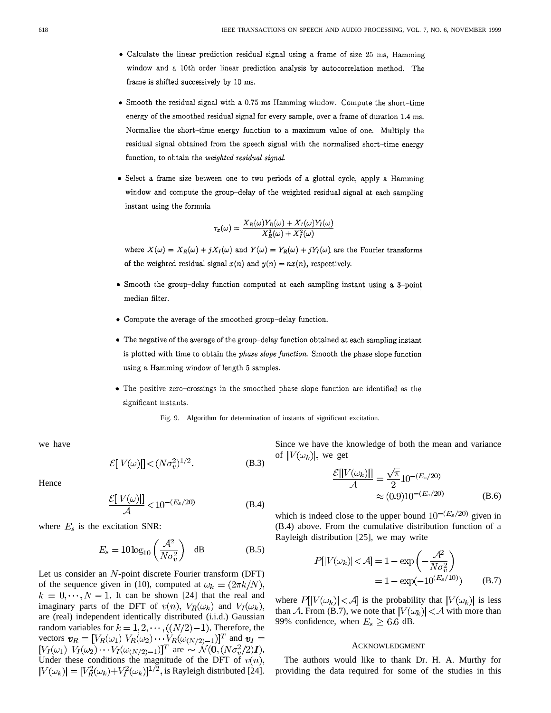- Calculate the linear prediction residual signal using a frame of size 25 ms, Hamming window and a 10th order linear prediction analysis by autocorrelation method. The frame is shifted successively by 10 ms.
- Smooth the residual signal with a 0.75 ms Hamming window. Compute the short-time energy of the smoothed residual signal for every sample, over a frame of duration 1.4 ms. Normalise the short-time energy function to a maximum value of one. Multiply the residual signal obtained from the speech signal with the normalised short-time energy function, to obtain the weighted residual signal.
- · Select a frame size between one to two periods of a glottal cycle, apply a Hamming window and compute the group-delay of the weighted residual signal at each sampling instant using the formula

$$
\tau_x(\omega) = \frac{X_R(\omega)Y_R(\omega) + X_I(\omega)Y_I(\omega)}{X_R^2(\omega) + X_I^2(\omega)}
$$

where  $X(\omega) = X_R(\omega) + jX_I(\omega)$  and  $Y(\omega) = Y_R(\omega) + jY_I(\omega)$  are the Fourier transforms of the weighted residual signal  $x(n)$  and  $y(n) = nx(n)$ , respectively.

- Smooth the group-delay function computed at each sampling instant using a 3-point median filter.
- Compute the average of the smoothed group-delay function.
- The negative of the average of the group-delay function obtained at each sampling instant is plotted with time to obtain the *phase slope function*. Smooth the phase slope function using a Hamming window of length 5 samples.
- The positive zero-crossings in the smoothed phase slope function are identified as the significant instants.

Fig. 9. Algorithm for determination of instants of significant excitation.

we have

 $\mathcal{E}[|V(\omega)||] < (N\sigma_v^2)^{1/2}$ . (B.3)

Hence

$$
\frac{\mathcal{E}[|V(\omega)|]}{\mathcal{A}} < 10^{-(E_s/20)} \tag{B.4}
$$

where  $E_s$  is the excitation SNR:

$$
E_s = 10 \log_{10} \left( \frac{\mathcal{A}^2}{N \sigma_v^2} \right) \quad \text{dB} \tag{B.5}
$$

Let us consider an  $N$ -point discrete Fourier transform (DFT) of the sequence given in (10), computed at  $\omega_k = (2\pi k/N)$ ,  $k = 0, \dots, N - 1$ . It can be shown [24] that the real and imaginary parts of the DFT of  $v(n)$ ,  $V_R(\omega_k)$  and  $V_I(\omega_k)$ , are (real) independent identically distributed (i.i.d.) Gaussian random variables for  $k = 1, 2, \dots, ((N/2)-1)$ . Therefore, the vectors  $\mathbf{v}_R = [V_R(\omega_1) V_R(\omega_2) \cdots V_R(\omega_{(N/2)-1})]^T$  and are Under these conditions the magnitude of the DFT of is Rayleigh distributed [24]. Since we have the knowledge of both the mean and variance of  $|V(\omega_k)|$ , we get

$$
\frac{\mathcal{E}[|V(\omega_k)|]}{\mathcal{A}} = \frac{\sqrt{\pi}}{2} 10^{-(E_s/20)} \n\approx (0.9) 10^{-(E_s/20)} \tag{B.6}
$$

which is indeed close to the upper bound  $10^{-(E_s/20)}$  given in (B.4) above. From the cumulative distribution function of a Rayleigh distribution [25], we may write

$$
P[|V(\omega_k)| < A] = 1 - \exp\left(-\frac{A^2}{N\sigma_v^2}\right)
$$
  
= 1 - \exp(-10<sup>(E\_s/10)</sup>) (B.7)

where  $P[|V(\omega_k)| < A]$  is the probability that  $|V(\omega_k)|$  is less than A. From (B.7), we note that  $|V(\omega_k)| < A$  with more than 99% confidence, when  $E_s \geq 6.6$  dB.

#### ACKNOWLEDGMENT

The authors would like to thank Dr. H. A. Murthy for providing the data required for some of the studies in this